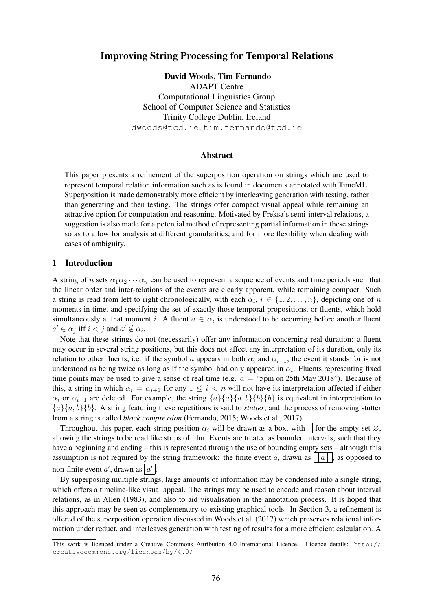# Improving String Processing for Temporal Relations

David Woods, Tim Fernando ADAPT Centre Computational Linguistics Group School of Computer Science and Statistics Trinity College Dublin, Ireland dwoods@tcd.ie, tim.fernando@tcd.ie

## Abstract

This paper presents a refinement of the superposition operation on strings which are used to represent temporal relation information such as is found in documents annotated with TimeML. Superposition is made demonstrably more efficient by interleaving generation with testing, rather than generating and then testing. The strings offer compact visual appeal while remaining an attractive option for computation and reasoning. Motivated by Freksa's semi-interval relations, a suggestion is also made for a potential method of representing partial information in these strings so as to allow for analysis at different granularities, and for more flexibility when dealing with cases of ambiguity.

## 1 Introduction

A string of n sets  $\alpha_1\alpha_2\cdots\alpha_n$  can be used to represent a sequence of events and time periods such that the linear order and inter-relations of the events are clearly apparent, while remaining compact. Such a string is read from left to right chronologically, with each  $\alpha_i$ ,  $i \in \{1, 2, ..., n\}$ , depicting one of n moments in time, and specifying the set of exactly those temporal propositions, or fluents, which hold simultaneously at that moment i. A fluent  $a \in \alpha_i$  is understood to be occurring before another fluent  $a' \in \alpha_j$  iff  $i < j$  and  $a' \notin \alpha_i$ .

Note that these strings do not (necessarily) offer any information concerning real duration: a fluent may occur in several string positions, but this does not affect any interpretation of its duration, only its relation to other fluents, i.e. if the symbol a appears in both  $\alpha_i$  and  $\alpha_{i+1}$ , the event it stands for is not understood as being twice as long as if the symbol had only appeared in  $\alpha_i$ . Fluents representing fixed time points may be used to give a sense of real time (e.g.  $a =$  "5pm on 25th May 2018"). Because of this, a string in which  $\alpha_i = \alpha_{i+1}$  for any  $1 \leq i < n$  will not have its interpretation affected if either  $\alpha_i$  or  $\alpha_{i+1}$  are deleted. For example, the string  $\{a\}\{a\}\{a,b\}\{b\}\{b\}$  is equivalent in interpretation to  ${a}{a,b}{b}.$  A string featuring these repetitions is said to *stutter*, and the process of removing stutter from a string is called *block compression* (Fernando, 2015; Woods et al., 2017).

Throughout this paper, each string position  $\alpha_i$  will be drawn as a box, with  $\Box$  for the empty set  $\varnothing$ , allowing the strings to be read like strips of film. Events are treated as bounded intervals, such that they have a beginning and ending – this is represented through the use of bounding empty sets – although this assumption is not required by the string framework: the finite event a, drawn as | | | | | |, as opposed to non-finite event  $a'$ , drawn as  $|a'|$ .

By superposing multiple strings, large amounts of information may be condensed into a single string, which offers a timeline-like visual appeal. The strings may be used to encode and reason about interval relations, as in Allen (1983), and also to aid visualisation in the annotation process. It is hoped that this approach may be seen as complementary to existing graphical tools. In Section 3, a refinement is offered of the superposition operation discussed in Woods et al. (2017) which preserves relational information under reduct, and interleaves generation with testing of results for a more efficient calculation. A

This work is licenced under a Creative Commons Attribution 4.0 International Licence. Licence details: http:// creativecommons.org/licenses/by/4.0/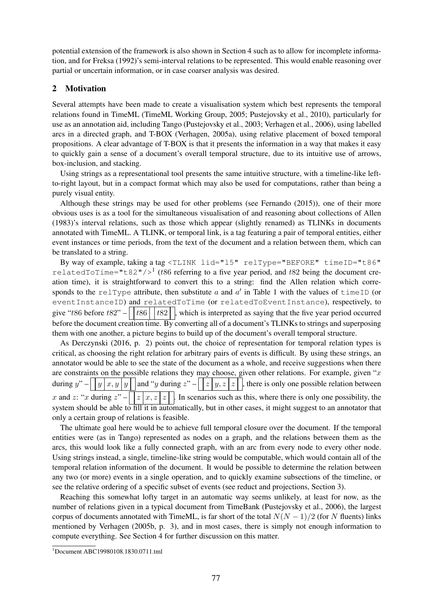potential extension of the framework is also shown in Section 4 such as to allow for incomplete information, and for Freksa (1992)'s semi-interval relations to be represented. This would enable reasoning over partial or uncertain information, or in case coarser analysis was desired.

# 2 Motivation

Several attempts have been made to create a visualisation system which best represents the temporal relations found in TimeML (TimeML Working Group, 2005; Pustejovsky et al., 2010), particularly for use as an annotation aid, including Tango (Pustejovsky et al., 2003; Verhagen et al., 2006), using labelled arcs in a directed graph, and T-BOX (Verhagen, 2005a), using relative placement of boxed temporal propositions. A clear advantage of T-BOX is that it presents the information in a way that makes it easy to quickly gain a sense of a document's overall temporal structure, due to its intuitive use of arrows, box-inclusion, and stacking.

Using strings as a representational tool presents the same intuitive structure, with a timeline-like leftto-right layout, but in a compact format which may also be used for computations, rather than being a purely visual entity.

Although these strings may be used for other problems (see Fernando (2015)), one of their more obvious uses is as a tool for the simultaneous visualisation of and reasoning about collections of Allen (1983)'s interval relations, such as those which appear (slightly renamed) as TLINKs in documents annotated with TimeML. A TLINK, or temporal link, is a tag featuring a pair of temporal entities, either event instances or time periods, from the text of the document and a relation between them, which can be translated to a string.

By way of example, taking a tag <TLINK lid="l5" relType="BEFORE" timeID="t86" relatedToTime="t82"/ $>1$  (t86 referring to a five year period, and t82 being the document creation time), it is straightforward to convert this to a string: find the Allen relation which corresponds to the relType attribute, then substitute a and a' in Table 1 with the values of timeID (or eventInstanceID) and relatedToTime (or relatedToEventInstance), respectively, to give "t86 before t82" –  $\vert$  t86  $\vert$  t82  $\vert$  , which is interpreted as saying that the five year period occurred before the document creation time. By converting all of a document's TLINKs to strings and superposing them with one another, a picture begins to build up of the document's overall temporal structure.

As Derczynski (2016, p. 2) points out, the choice of representation for temporal relation types is critical, as choosing the right relation for arbitrary pairs of events is difficult. By using these strings, an annotator would be able to see the state of the document as a whole, and receive suggestions when there are constraints on the possible relations they may choose, given other relations. For example, given " $x$ " during  $y'' - \sqrt{y \cdot x}$ ,  $y \cdot y$  and "y during  $z'' - \sqrt{x \cdot y}$ , there is only one possible relation between x and z: "x during  $z" - \mid z | x, z | z \mid$ . In scenarios such as this, where there is only one possibility, the system should be able to fill it in automatically, but in other cases, it might suggest to an annotator that only a certain group of relations is feasible.

The ultimate goal here would be to achieve full temporal closure over the document. If the temporal entities were (as in Tango) represented as nodes on a graph, and the relations between them as the arcs, this would look like a fully connected graph, with an arc from every node to every other node. Using strings instead, a single, timeline-like string would be computable, which would contain all of the temporal relation information of the document. It would be possible to determine the relation between any two (or more) events in a single operation, and to quickly examine subsections of the timeline, or see the relative ordering of a specific subset of events (see reduct and projections, Section 3).

Reaching this somewhat lofty target in an automatic way seems unlikely, at least for now, as the number of relations given in a typical document from TimeBank (Pustejovsky et al., 2006), the largest corpus of documents annotated with TimeML, is far short of the total  $N(N-1)/2$  (for N fluents) links mentioned by Verhagen (2005b, p. 3), and in most cases, there is simply not enough information to compute everything. See Section 4 for further discussion on this matter.

<sup>1</sup> Document ABC19980108.1830.0711.tml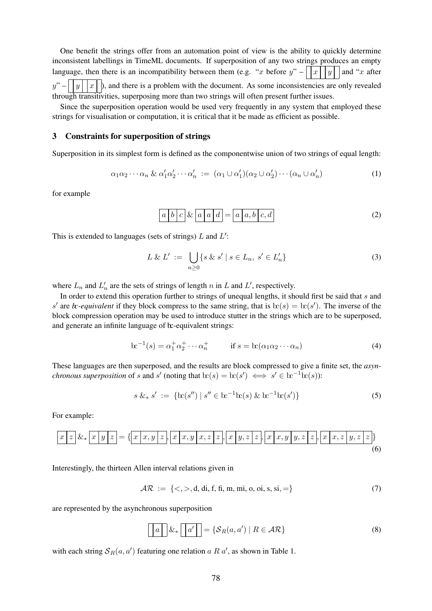One benefit the strings offer from an automation point of view is the ability to quickly determine inconsistent labellings in TimeML documents. If superposition of any two strings produces an empty language, then there is an incompatibility between them (e.g. "x before  $y'' - \vert x \vert y \vert$  and "x after  $y'' - \sqrt{y \sqrt{x}}$ , and there is a problem with the document. As some inconsistencies are only revealed through transitivities, superposing more than two strings will often present further issues.

Since the superposition operation would be used very frequently in any system that employed these strings for visualisation or computation, it is critical that it be made as efficient as possible.

#### 3 Constraints for superposition of strings

Superposition in its simplest form is defined as the componentwise union of two strings of equal length:

$$
\alpha_1 \alpha_2 \cdots \alpha_n \& \alpha'_1 \alpha'_2 \cdots \alpha'_n := (\alpha_1 \cup \alpha'_1)(\alpha_2 \cup \alpha'_2) \cdots (\alpha_n \cup \alpha'_n)
$$
(1)

for example

$$
a \mid b \mid c \mid \& \mid a \mid a \mid d = a \mid a, b \mid c, d
$$
\n
$$
(2)
$$

This is extended to languages (sets of strings)  $L$  and  $L'$ :

$$
L \& L' := \bigcup_{n \geq 0} \{ s \& s' \mid s \in L_n, s' \in L'_n \} \tag{3}
$$

where  $L_n$  and  $L'_n$  are the sets of strings of length n in L and L', respectively.

In order to extend this operation further to strings of unequal lengths, it should first be said that s and s' are *bc-equivalent* if they block compress to the same string, that is  $\text{bc}(s) = \text{bc}(s')$ . The inverse of the block compression operation may be used to introduce stutter in the strings which are to be superposed, and generate an infinite language of  $\alpha$ -equivalent strings:

$$
\mathbf{bc}^{-1}(s) = \alpha_1^+ \alpha_2^+ \cdots \alpha_n^+ \qquad \text{if } s = \mathbf{bc}(\alpha_1 \alpha_2 \cdots \alpha_n) \tag{4}
$$

These languages are then superposed, and the results are block compressed to give a finite set, the *asynchronous superposition* of s and s' (noting that  $\text{bc}(s) = \text{bc}(s') \iff s' \in \text{bc}^{-1}\text{bc}(s)$ ):

$$
s \&_{*} s' := \{ \ln(s'') \mid s'' \in \ln^{-1} \ln(s) \& \ln^{-1} \ln(s') \} \tag{5}
$$

For example:

$$
x[z] \& \underline{x[y]z} = \{ \underline{x[x,y]z}, \underline{x[x,y]x,z]z}, \underline{x[y,z]z}, \underline{x[x,y]y,z]z}, \underline{x[x,x]y,z]z} \} \tag{6}
$$

Interestingly, the thirteen Allen interval relations given in

$$
\mathcal{AR} := \{ \langle \rangle, \langle \mathbf{d}, \mathbf{d}, \mathbf{f}, \mathbf{f}, \mathbf{m}, \mathbf{m}, \mathbf{0}, \mathbf{0}, \mathbf{s}, \mathbf{s} \mathbf{i}, \mathbf{d} \rangle \tag{7}
$$

are represented by the asynchronous superposition

$$
\boxed{a} \quad \&_* \boxed{a'} = \{ \mathcal{S}_R(a, a') \mid R \in \mathcal{AR} \}
$$
\n
$$
(8)
$$

with each string  $S_R(a, a')$  featuring one relation a R a', as shown in Table 1.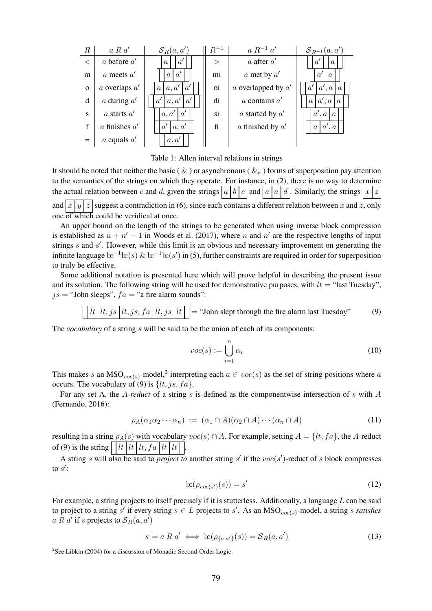

Table 1: Allen interval relations in strings

It should be noted that neither the basic (  $\&$  ) or asynchronous (  $\&_*$  ) forms of superposition pay attention to the semantics of the strings on which they operate. For instance, in (2), there is no way to determine the actual relation between c and d, given the strings  $|a|b|c|$  and  $|a|a|d$ . Similarly, the strings  $|x|z|$ and  $x | y | z$  suggest a contradiction in (6), since each contains a different relation between x and z, only one of which could be veridical at once.

An upper bound on the length of the strings to be generated when using inverse block compression is established as  $n + n' - 1$  in Woods et al. (2017), where n and n' are the respective lengths of input strings  $s$  and  $s'$ . However, while this limit is an obvious and necessary improvement on generating the infinite language  $\mathrm{bc}^{-1}\mathrm{bc}(s)$   $\&$   $\mathrm{bc}^{-1}\mathrm{bc}(s')$  in (5), further constraints are required in order for superposition to truly be effective.

Some additional notation is presented here which will prove helpful in describing the present issue and its solution. The following string will be used for demonstrative purposes, with  $lt =$  "last Tuesday",  $js =$  "John sleeps",  $fa =$  "a fire alarm sounds":

 $|lt, js|$   $|lt, js, fa|$   $|lt, js|$   $|lt|$  = "John slept through the fire alarm last Tuesday" (9)

The *vocabulary* of a string s will be said to be the union of each of its components:

$$
voc(s) := \bigcup_{i=1}^{n} \alpha_i
$$
\n(10)

This makes s an MSO<sub>voc(s)</sub>-model,<sup>2</sup> interpreting each  $a \in voc(s)$  as the set of string positions where a occurs. The vocabulary of (9) is  $\{lt, js, fa\}.$ 

For any set A, the A*-reduct* of a string s is defined as the componentwise intersection of s with A (Fernando, 2016):

$$
\rho_A(\alpha_1 \alpha_2 \cdots \alpha_n) := (\alpha_1 \cap A)(\alpha_2 \cap A) \cdots (\alpha_n \cap A) \tag{11}
$$

resulting in a string  $\rho_A(s)$  with vocabulary  $voc(s) \cap A$ . For example, setting  $A = \{lt, fa\}$ , the A-reduct of (9) is the string  $\vert \t l t \t l t \t l t$ ,  $f a \t l t \t l t \t l$ .

A string s will also be said to *project to* another string  $s'$  if the  $voc(s')$ -reduct of s block compresses to  $s'$ :

$$
\operatorname{tc}(\rho_{voc(s')}(s)) = s' \tag{12}
$$

For example, a string projects to itself precisely if it is stutterless. Additionally, a language L can be said to project to a string  $s'$  if every string  $s \in L$  projects to  $s'$ . As an MSO<sub>voc(s)</sub>-model, a string s *satisfies*  $a R a'$  if s projects to  $\mathcal{S}_R(a, a')$ 

$$
s \models a \, R \, a' \iff \mathbf{bc}(\rho_{\{a,a'\}}(s)) = \mathcal{S}_R(a,a')
$$
\n<sup>(13)</sup>

<sup>&</sup>lt;sup>2</sup>See Libkin (2004) for a discussion of Monadic Second-Order Logic.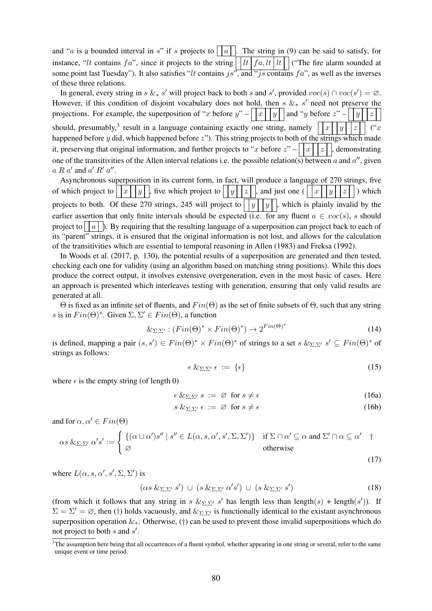and "a is a bounded interval in s" if s projects to | |a|. The string in (9) can be said to satisfy, for instance, "lt contains f a", since it projects to the string  $\vert \tceil \tceil t \tceil f a$ , lt  $\vert \tceil t \vert \tceil$  ("The fire alarm sounded at some point last Tuesday"). It also satisfies "lt contains js", and "js contains fa", as well as the inverses of these three relations.

In general, every string in s  $\&_* s'$  will project back to both s and s', provided  $\text{voc}(s) \cap \text{voc}(s') = \emptyset$ . However, if this condition of disjoint vocabulary does not hold, then s  $\&_* s'$  need not preserve the projections. For example, the superposition of "x before y" –  $\left| x \mid y \right|$  and "y before  $z$ " –  $\left| y \right|$   $|z|$ should, presumably,<sup>3</sup> result in a language containing exactly one string, namely  $||x||y||z||$  ("x happened before  $y$  did, which happened before  $z$ "). This string projects to both of the strings which made it, preserving that original information, and further projects to "x before  $z$ " –  $x \mid x \mid z \mid$ , demonstrating one of the transitivities of the Allen interval relations i.e. the possible relation(s) between a and  $a''$ , given  $a R a'$  and  $a' R' a''$ .

Asynchronous superposition in its current form, in fact, will produce a language of 270 strings, five of which project to  $||x||y||$ , five which project to  $||y||z||$ , and just one  $(||x||y||z||)$  which projects to both. Of these 270 strings, 245 will project to  $||y||y||$ , which is plainly invalid by the earlier assertion that only finite intervals should be expected (i.e. for any fluent  $a \in voc(s)$ , s should project to | |a| |). By requiring that the resulting language of a superposition can project back to each of its "parent" strings, it is ensured that the original information is not lost, and allows for the calculation of the transitivities which are essential to temporal reasoning in Allen (1983) and Freksa (1992).

In Woods et al. (2017, p. 130), the potential results of a superposition are generated and then tested, checking each one for validity (using an algorithm based on matching string positions). While this does produce the correct output, it involves extensive overgeneration, even in the most basic of cases. Here an approach is presented which interleaves testing with generation, ensuring that only valid results are generated at all.

 $\Theta$  is fixed as an infinite set of fluents, and  $Fin(\Theta)$  as the set of finite subsets of  $\Theta$ , such that any string s is in  $Fin(\Theta)^*$ . Given  $\Sigma, \Sigma' \in Fin(\Theta)$ , a function

$$
\&_{\Sigma,\Sigma'} : (Fin(\Theta)^* \times Fin(\Theta)^*) \to 2^{Fin(\Theta)^*} \tag{14}
$$

is defined, mapping a pair  $(s, s') \in Fin(\Theta)^* \times Fin(\Theta)^*$  of strings to a set  $s \&_{\Sigma, \Sigma'} s' \subseteq Fin(\Theta)^*$  of strings as follows:

$$
\epsilon \&_{\Sigma,\Sigma'} \epsilon := \{\epsilon\} \tag{15}
$$

where  $\epsilon$  is the empty string (of length 0)

$$
\epsilon \&_{\Sigma,\Sigma'} s := \varnothing \text{ for } s \neq \epsilon \tag{16a}
$$

$$
s \&_{\Sigma, \Sigma'} \epsilon := \varnothing \text{ for } s \neq \epsilon \tag{16b}
$$

and for  $\alpha, \alpha' \in Fin(\Theta)$ 

$$
\alpha s \&_{\Sigma, \Sigma'} \alpha' s' := \begin{cases} \{ (\alpha \cup \alpha') s'' \mid s'' \in L(\alpha, s, \alpha', s', \Sigma, \Sigma') \} & \text{if } \Sigma \cap \alpha' \subseteq \alpha \text{ and } \Sigma' \cap \alpha \subseteq \alpha' & \text{otherwise} \end{cases}
$$
\n
$$
(17)
$$

where  $L(\alpha, s, \alpha', s', \Sigma, \Sigma')$  is

$$
(\alpha s \&_{\Sigma,\Sigma'} s') \cup (s \&_{\Sigma,\Sigma'} \alpha' s') \cup (s \&_{\Sigma,\Sigma'} s')
$$
\n(18)

(from which it follows that any string in s  $\&_{\Sigma,\Sigma'} s'$  has length less than length(s) + length(s')). If  $\Sigma = \Sigma' = \emptyset$ , then (†) holds vacuously, and  $\&_{\Sigma,\Sigma'}$  is functionally identical to the existant asynchronous superposition operation  $\&\infty$ . Otherwise, (†) can be used to prevent those invalid superpositions which do not project to both  $s$  and  $s'$ .

<sup>&</sup>lt;sup>3</sup>The assumption here being that all occurrences of a fluent symbol, whether appearing in one string or several, refer to the same unique event or time period.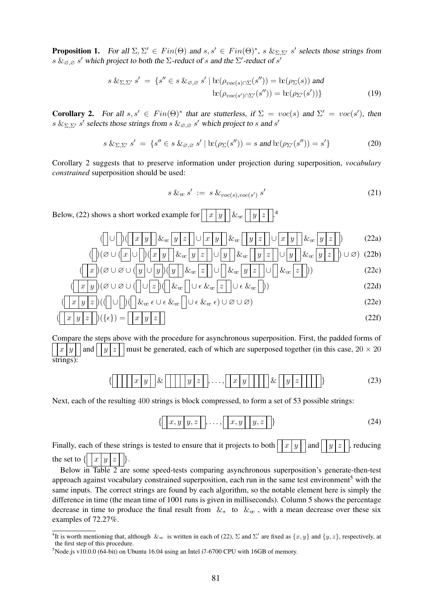**Proposition 1.** For all  $\Sigma, \Sigma' \in Fin(\Theta)$  and  $s, s' \in Fin(\Theta)^*$ ,  $s \&_{\Sigma, \Sigma'} s'$  selects those strings from  $s$   $\&_{\varnothing,\varnothing}$   $s'$  which project to both the  $\Sigma$ -reduct of  $s$  and the  $\Sigma'$ -reduct of  $s'$ 

$$
s \&_{\Sigma, \Sigma'} s' = \{s'' \in s \&_{\varnothing, \varnothing} s' \mid \operatorname{lc}(\rho_{voc(s) \cap \Sigma}(s'')) = \operatorname{lc}(\rho_{\Sigma}(s)) \text{ and } \operatorname{lc}(\rho_{voc(s') \cap \Sigma'}(s'')) = \operatorname{lc}(\rho_{\Sigma'}(s'))\}
$$
(19)

**Corollary 2.** For all  $s, s' \in Fin(\Theta)^*$  that are stutterless, if  $\Sigma = voc(s)$  and  $\Sigma' = voc(s')$ , then s  $\&_{\Sigma, \Sigma'} s'$  selects those strings from s  $\&_{\emptyset, \emptyset} s'$  which project to s and s'

$$
s \&_{\Sigma,\Sigma'} s' = \{s'' \in s \&_{\varnothing,\varnothing} s' \mid \operatorname{lc}(\rho_{\Sigma}(s'')) = s \text{ and } \operatorname{lc}(\rho_{\Sigma'}(s'')) = s'\}\tag{20}
$$

Corollary 2 suggests that to preserve information under projection during superposition, *vocabulary constrained* superposition should be used:

$$
s \&_{w} s' := s \&_{\text{voc}(s), \text{voc}(s')} s'
$$
\n
$$
(21)
$$

Below, (22) shows a short worked example for  $x |y| \&x$ 4

$$
\left(\bigcup \bigcup \bigcap \left(\fbox{$x$ } y\right] \&_{w} y\right) \&_{w} \big[\big[\fbox{$y$ } \big] \&_{w} \big[\big[\fbox{$y$ } \big] \&_{w} \big[\big[\fbox{$y$ } \big] \&_{w} \big[\big[\fbox{$y$ } \big] \&_{w} \big[\big[\fbox{$y$ } \big] \&_{w} \big[\big[\fbox{$y$ } \big] \&_{w} \big[\big[\fbox{$y$ } \big] \&_{w} \big[\big[\fbox{$y$ } \big] \&_{w} \big[\big[\fbox{$y$ } \big] \&_{w} \big[\big[\fbox{$y$ } \big] \&_{w} \big[\big[\fbox{$y$ } \big] \&_{w} \big[\big[\fbox{$y$ } \big] \&_{w} \big[\big[\fbox{$y$ } \big] \&_{w} \big[\big[\fbox{$y$ } \big] \&_{w} \big[\big[\fbox{$y$ } \big] \&_{w} \big[\big[\fbox{$y$ } \big] \&_{w} \big[\big[\fbox{$y$ } \big] \&_{w} \big[\big[\fbox{$y$ } \big] \&_{w} \big[\big[\fbox{$y$ } \big] \&_{w} \big[\big[\fbox{$y$ } \big] \&_{w} \big[\big[\fbox{$y$ } \big] \&_{w} \big[\big[\fbox{$y$ } \big] \&_{w} \big[\big[\fbox{$y$ } \big] \&_{w} \big[\big[\fbox{$y$ } \big] \&_{w} \big[\big[\fbox{$y$ } \big] \&_{w} \big[\big[\fbox{$y$ } \big] \&_{w} \big[\big[\fbox{$y$ } \big] \&_{w} \big[\big[\fbox{$y$ } \big] \&_{w} \big[\big[\big[\fbox{$y$ } \big] \&_{w} \big[\big[\fbox{$y$ } \big] \&_{w} \big[\big[\big[\fbox{$y$ } \big] \&_{w} \big[\big[\big[\fbox{$y$ } \big] \&_{w} \big[\big[\big[\fbox{$y$ } \big] \&_{w} \big[\big[\big[\fbox{$y$ } \big] \&_{w} \big[\big[\big[\fbox{$y$ } \big] \&_{w} \big[\big[\big[\fbox{$y$ } \big] \&_{w} \big[\big[\big[\fbox{$y$ } \big] \&_{w} \big[\
$$

$$
\left(\left|\right| \left(\varnothing \cup \left(\left|x\right|\right)\right)\left(\left|x\right|\right) \cup \left|y\right|\right) \&_{w} \left|y\right| z\right| \cup \left|y\right| \&_{w} \left|y\right| z\right| \cup \left|y\right| \&_{w} \left|y\right| z\right| \right) \cup \left(\varnothing\right) \tag{22b}
$$
\n
$$
\left(\left|\left|x\right|\right) \left(\varnothing \cup \varnothing \cup \left(\left|y\right|\right)\left(\left|y\right|\right) \&_{w} \left|z\right|\right) \cup \left|\left|\left(x_{w}\right|\left|y\right|\right| z\right| \right) \right) \qquad (22c)
$$

$$
\left(\boxed{x|y}\right)(\emptyset \cup \emptyset \cup \left(\boxed{\cup z}\right)\left(\boxed{\&_{w}\right] \cup \epsilon \&_{w}\left[\left(\frac{\cdot}{\epsilon}\right] \cup \epsilon \&_{w}\right])
$$
\n(22d)

$$
\left(\boxed{x \mid y \mid z}\right) \left(\left(\boxed{\cup} \right) \left(\boxed{\& x \in \cup \epsilon \& x \in \ ] \cup \epsilon \& x \epsilon}\right) \cup \varnothing \cup \varnothing\right) \tag{22e}
$$

$$
(\boxed{x \mid y \mid z}) (\{\epsilon\}) = \boxed{x \mid y \mid z}
$$
 (22f)

Compare the steps above with the procedure for asynchronous superposition. First, the padded forms of  $x |y|$  and  $|y|z|$  must be generated, each of which are superposed together (in this case,  $20 \times 20$ strings):

$$
\left\{ \boxed{\left| \boxed{x \ y \ } \right|} \& \boxed{\left| \boxed{y \ z \ } \right|}, \dots, \boxed{x \ y \ \boxed{\left| \boxed{y \ z \ } \right|} \right\} \tag{23}
$$

Next, each of the resulting 400 strings is block compressed, to form a set of 53 possible strings:

$$
\{ \boxed{x, y \mid y, z}, \dots, \boxed{x, y \mid y, z}
$$
 (24)

Finally, each of these strings is tested to ensure that it projects to both  $x | y | |$  and  $|y | z |$ , reducing the set to  $\{ |x|y \}$ 

Below in Table 2 are some speed-tests comparing asynchronous superposition's generate-then-test approach against vocabulary constrained superposition, each run in the same test environment<sup>5</sup> with the same inputs. The correct strings are found by each algorithm, so the notable element here is simply the difference in time (the mean time of 1001 runs is given in milliseconds). Column 5 shows the percentage decrease in time to produce the final result from  $\&_*$  to  $\&_{\infty}$ , with a mean decrease over these six examples of 72.27%.

<sup>&</sup>lt;sup>4</sup>It is worth mentioning that, although  $\&_{\infty}$  is written in each of (22),  $\Sigma$  and  $\Sigma'$  are fixed as  $\{x, y\}$  and  $\{y, z\}$ , respectively, at the first step of this procedure.

<sup>&</sup>lt;sup>5</sup>Node.js v10.0.0 (64-bit) on Ubuntu 16.04 using an Intel i7-6700 CPU with 16GB of memory.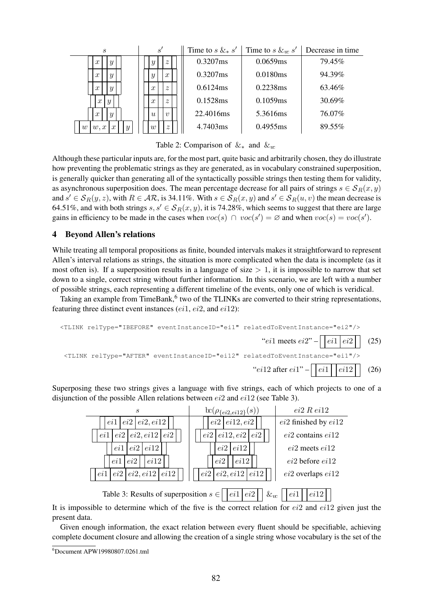

Table 2: Comparison of  $\&_*$  and  $\&_{\infty}$ 

Although these particular inputs are, for the most part, quite basic and arbitrarily chosen, they do illustrate how preventing the problematic strings as they are generated, as in vocabulary constrained superposition, is generally quicker than generating all of the syntactically possible strings then testing them for validity, as asynchronous superposition does. The mean percentage decrease for all pairs of strings  $s \in S_R(x, y)$ and  $s' \in S_R(y, z)$ , with  $R \in AR$ , is 34.11%. With  $s \in S_R(x, y)$  and  $s' \in S_R(u, v)$  the mean decrease is 64.51%, and with both strings  $s, s' \in S_R(x, y)$ , it is 74.28%, which seems to suggest that there are large gains in efficiency to be made in the cases when  $\text{voc}(s) \cap \text{voc}(s') = \emptyset$  and when  $\text{voc}(s) = \text{voc}(s')$ .

## 4 Beyond Allen's relations

While treating all temporal propositions as finite, bounded intervals makes it straightforward to represent Allen's interval relations as strings, the situation is more complicated when the data is incomplete (as it most often is). If a superposition results in a language of size  $> 1$ , it is impossible to narrow that set down to a single, correct string without further information. In this scenario, we are left with a number of possible strings, each representing a different timeline of the events, only one of which is veridical.

Taking an example from TimeBank, $6$  two of the TLINKs are converted to their string representations, featuring three distinct event instances  $(ei1, ei2, and ei12)$ :

$$
\left\{\text{TLINK } \text{relType} = \text{TBEFORE}^{\text{max}} \text{ eventInstanceID} = \text{Teil}^{\text{max}} \text{ relatedToEventInstance} = \text{Teil}^{\text{max}} \right\}
$$
\n
$$
\left\{\text{C5}\right\}
$$
\n
$$
\left\{\text{TLINK } \text{relType} = \text{IATER}^{\text{max}} \text{ eventInstanceID} = \text{Teil2}^{\text{max}} \text{ relatedToEventInstance} = \text{Teil}^{\text{max}} \right\}
$$
\n
$$
\left\{\text{C6}\right\}
$$

Superposing these two strings gives a language with five strings, each of which projects to one of a disjunction of the possible Allen relations between ei2 and ei12 (see Table 3).



It is impossible to determine which of the five is the correct relation for  $ei2$  and  $ei12$  given just the present data.

Given enough information, the exact relation between every fluent should be specifiable, achieving complete document closure and allowing the creation of a single string whose vocabulary is the set of the

<sup>6</sup> Document APW19980807.0261.tml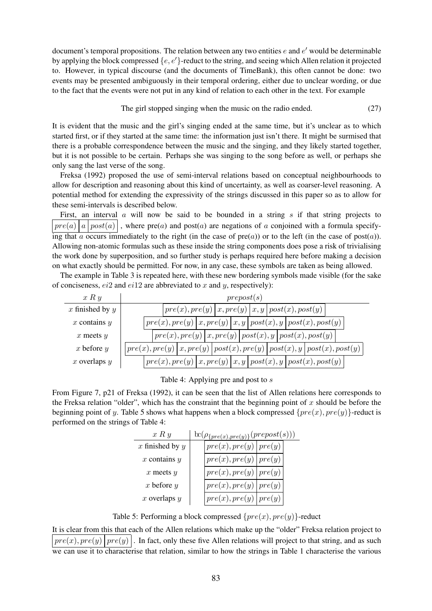document's temporal propositions. The relation between any two entities  $e$  and  $e'$  would be determinable by applying the block compressed  $\{e, e'\}$ -reduct to the string, and seeing which Allen relation it projected to. However, in typical discourse (and the documents of TimeBank), this often cannot be done: two events may be presented ambiguously in their temporal ordering, either due to unclear wording, or due to the fact that the events were not put in any kind of relation to each other in the text. For example

The girl stopped singing when the music on the radio ended. (27)

It is evident that the music and the girl's singing ended at the same time, but it's unclear as to which started first, or if they started at the same time: the information just isn't there. It might be surmised that there is a probable correspondence between the music and the singing, and they likely started together, but it is not possible to be certain. Perhaps she was singing to the song before as well, or perhaps she only sang the last verse of the song.

Freksa (1992) proposed the use of semi-interval relations based on conceptual neighbourhoods to allow for description and reasoning about this kind of uncertainty, as well as coarser-level reasoning. A potential method for extending the expressivity of the strings discussed in this paper so as to allow for these semi-intervals is described below.

First, an interval  $\alpha$  will now be said to be bounded in a string  $\beta$  if that string projects to  $|pre(a)|a|post(a)|$ , where pre(a) and post(a) are negations of a conjoined with a formula specifying that a occurs immediately to the right (in the case of  $pre(a)$ ) or to the left (in the case of post(a)). Allowing non-atomic formulas such as these inside the string components does pose a risk of trivialising the work done by superposition, and so further study is perhaps required here before making a decision on what exactly should be permitted. For now, in any case, these symbols are taken as being allowed.

The example in Table 3 is repeated here, with these new bordering symbols made visible (for the sake of conciseness,  $ei2$  and  $ei12$  are abbreviated to x and y, respectively):

| x R y             | prepost(s)                                                                                                                                                                                                                                                                                                                                                                                                                                                                                 |  |  |  |  |
|-------------------|--------------------------------------------------------------------------------------------------------------------------------------------------------------------------------------------------------------------------------------------------------------------------------------------------------------------------------------------------------------------------------------------------------------------------------------------------------------------------------------------|--|--|--|--|
| x finished by $y$ | $\left\langle \mathit{pre}(x), \mathit{pre}(y) \,   \, x, \mathit{pre}(y) \,   \, x, y \,   \, \mathit{post}(x), \mathit{post}(y) \right\rangle$                                                                                                                                                                                                                                                                                                                                           |  |  |  |  |
| $x$ contains $y$  | $\lvert \, pre(x), pre(y) \, \rvert \, x, pre(y) \, \rvert \, x, y \, \rvert \, post(x), y \, \rvert \, post(x), post(y) \, \rvert$                                                                                                                                                                                                                                                                                                                                                        |  |  |  |  |
| $x$ meets $y$     | $\vert \textit{pre}(x), \textit{pre}(y) \, \vert \, x, \textit{pre}(y) \, \vert \, \textit{post}(x), y \, \vert \, \textit{post}(x), \textit{post}(y) \, \vert \,$                                                                                                                                                                                                                                                                                                                         |  |  |  |  |
| $x$ before $y$    | $\left[ \left[ \left[ \left[ \left( x \right) \right] \right] \right] \right] x, \left[ \left[ \left[ \left( x \right) \right] \right] \right] \right] \left[ \left[ \left[ \left[ \left( x \right) \right] \right] \right] \right] \left[ \left[ \left[ \left[ \left( x \right) \right] \right] \right] \right] \left[ \left[ \left[ \left[ \left( x \right) \right] \right] \right] \right] \left[ \left[ \left[ \left( \left[ \left( x \right) \right] \right] \right] \right] \right]$ |  |  |  |  |
| x overlaps $y$    | $\vert \textit{pre}(x), \textit{pre}(y) \, \vert \, x, \textit{pre}(y) \, \vert \, x, y \, \vert \, \textit{post}(x), y \, \vert \, \textit{post}(x), \textit{post}(y) \, \vert \,$                                                                                                                                                                                                                                                                                                        |  |  |  |  |

Table 4: Applying pre and post to s

From Figure 7, p21 of Freksa (1992), it can be seen that the list of Allen relations here corresponds to the Freksa relation "older", which has the constraint that the beginning point of x should be before the beginning point of y. Table 5 shows what happens when a block compressed  $\{pre(x), pre(y)\}$ -reduct is performed on the strings of Table 4:

| x R y               | $\operatorname{tr}(\rho_{\{pre(x), pre(y)\}}(prepost(s))$ |                             |  |  |
|---------------------|-----------------------------------------------------------|-----------------------------|--|--|
| $x$ finished by $y$ |                                                           | pre(x), pre(y)   pre(y)     |  |  |
| $x$ contains $y$    |                                                           | $pre(x), pre(y)$   $pre(y)$ |  |  |
| $x$ meets $y$       |                                                           | pre(x), pre(y)   pre(y)     |  |  |
| x before $y$        |                                                           | pre(x), pre(y)   pre(y)     |  |  |
| $x$ overlaps $y$    |                                                           | pre(x), pre(y)   pre(y)     |  |  |

Table 5: Performing a block compressed  $\{pre(x), pre(y)\}$ -reduct

It is clear from this that each of the Allen relations which make up the "older" Freksa relation project to  $|pre(x), pre(y)| pre(y)|$ . In fact, only these five Allen relations will project to that string, and as such we can use it to characterise that relation, similar to how the strings in Table 1 characterise the various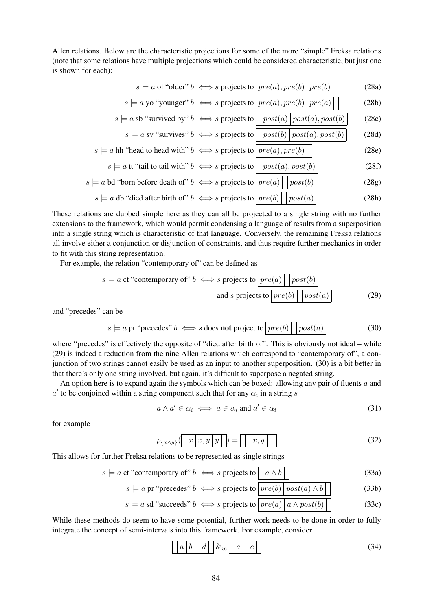Allen relations. Below are the characteristic projections for some of the more "simple" Freksa relations (note that some relations have multiple projections which could be considered characteristic, but just one is shown for each):

$$
s \models a \text{ ol "older" } b \iff s \text{ projects to } \boxed{pre(a), pre(b) \mid pre(b) \mid} \tag{28a}
$$

$$
s \models a \text{ yo "younger" } b \iff s \text{ projects to } \boxed{pre(a), pre(b) \mid pre(a) \mid}
$$
 (28b)

$$
s \models a \text{ sb "survived by" } b \iff s \text{ projects to } \boxed{post(a) \mid post(a), post(b)}
$$
(28c)

$$
s \models a \text{ by survives } b \iff s \text{ projects to } \boxed{post(b) \mid post(a), post(b)} \tag{28a}
$$
\n
$$
s \models a \text{ bh "head to head with" } b \iff s \text{ projects to } \boxed{pre(a) \mid pre(b)} \tag{28e}
$$

$$
s \models a \text{ it "tail to tail with" } b \iff s \text{ projects to } \boxed{post(a), post(b)}
$$
(28f)

$$
s \models a \text{ bd "born before death of" } b \iff s \text{ projects to } \boxed{pre(a) \mid post(b)}
$$
\n
$$
s \models a \text{ db "died after birth of" } b \iff s \text{ projects to } \boxed{pre(b) \mid post(a)}
$$
\n(28g)\n(28h)

These relations are dubbed simple here as they can all be projected to a single string with no further extensions to the framework, which would permit condensing a language of results from a superposition into a single string which is characteristic of that language. Conversely, the remaining Freksa relations all involve either a conjunction or disjunction of constraints, and thus require further mechanics in order to fit with this string representation.

For example, the relation "contemporary of" can be defined as

$$
s \models a \text{ ct "contemporary of" } b \iff s \text{ projects to } \boxed{pre(a) \mid post(b)}
$$
  
and s projects to  $\boxed{pre(b) \mid post(a)}$  (29)

and "precedes" can be

$$
s \models a \text{ pr "precedes" } b \iff s \text{ does not project to } \boxed{pre(b) \mid post(a)}
$$
 (30)

where "precedes" is effectively the opposite of "died after birth of". This is obviously not ideal – while (29) is indeed a reduction from the nine Allen relations which correspond to "contemporary of", a conjunction of two strings cannot easily be used as an input to another superposition. (30) is a bit better in that there's only one string involved, but again, it's difficult to superpose a negated string.

An option here is to expand again the symbols which can be boxed: allowing any pair of fluents  $\alpha$  and  $a'$  to be conjoined within a string component such that for any  $\alpha_i$  in a string s

$$
a \wedge a' \in \alpha_i \iff a \in \alpha_i \text{ and } a' \in \alpha_i \tag{31}
$$

for example

$$
\rho_{\{x \wedge y\}}([\boxed{x \mid x, y \mid y}]) = [\boxed{x, y}]] \tag{32}
$$

This allows for further Freksa relations to be represented as single strings

$$
s \models a \text{ ct "contemporary of" } b \iff s \text{ projects to } \boxed{a \land b}
$$
 (33a)

$$
s \models a \text{ pr "precedes" } b \iff s \text{ projects to } \boxed{pre(b) \mid post(a) \land b} \tag{33b}
$$

$$
s \models a \text{ sd "succeeds" } b \iff s \text{ projects to } \boxed{pre(a) \mid a \land post(b) \mid}
$$
 (33c)

While these methods do seem to have some potential, further work needs to be done in order to fully integrate the concept of semi-intervals into this framework. For example, consider

$$
\boxed{a \mid b \mid d \mid} \&_{w} \boxed{a \mid c}
$$
 (34)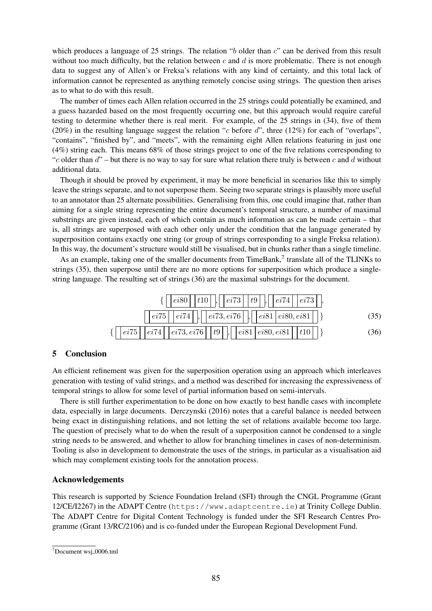which produces a language of 25 strings. The relation "b older than  $c$ " can be derived from this result without too much difficulty, but the relation between c and  $d$  is more problematic. There is not enough data to suggest any of Allen's or Freksa's relations with any kind of certainty, and this total lack of information cannot be represented as anything remotely concise using strings. The question then arises as to what to do with this result.

The number of times each Allen relation occurred in the 25 strings could potentially be examined, and a guess hazarded based on the most frequently occurring one, but this approach would require careful testing to determine whether there is real merit. For example, of the 25 strings in (34), five of them (20%) in the resulting language suggest the relation "c before  $d$ ", three (12%) for each of "overlaps", "contains", "finished by", and "meets", with the remaining eight Allen relations featuring in just one (4%) string each. This means 68% of those strings project to one of the five relations corresponding to "c older than  $d$ " – but there is no way to say for sure what relation there truly is between c and d without additional data.

Though it should be proved by experiment, it may be more beneficial in scenarios like this to simply leave the strings separate, and to not superpose them. Seeing two separate strings is plausibly more useful to an annotator than 25 alternate possibilities. Generalising from this, one could imagine that, rather than aiming for a single string representing the entire document's temporal structure, a number of maximal substrings are given instead, each of which contain as much information as can be made certain – that is, all strings are superposed with each other only under the condition that the language generated by superposition contains exactly one string (or group of strings corresponding to a single Freksa relation). In this way, the document's structure would still be visualised, but in chunks rather than a single timeline.

As an example, taking one of the smaller documents from TimeBank, $\frac{7}{1}$  translate all of the TLINKs to strings (35), then superpose until there are no more options for superposition which produce a singlestring language. The resulting set of strings (36) are the maximal substrings for the document.



# 5 Conclusion

An efficient refinement was given for the superposition operation using an approach which interleaves generation with testing of valid strings, and a method was described for increasing the expressiveness of temporal strings to allow for some level of partial information based on semi-intervals.

There is still further experimentation to be done on how exactly to best handle cases with incomplete data, especially in large documents. Derczynski (2016) notes that a careful balance is needed between being exact in distinguishing relations, and not letting the set of relations available become too large. The question of precisely what to do when the result of a superposition cannot be condensed to a single string needs to be answered, and whether to allow for branching timelines in cases of non-determinism. Tooling is also in development to demonstrate the uses of the strings, in particular as a visualisation aid which may complement existing tools for the annotation process.

# Acknowledgements

This research is supported by Science Foundation Ireland (SFI) through the CNGL Programme (Grant 12/CE/I2267) in the ADAPT Centre (https://www.adaptcentre.ie) at Trinity College Dublin. The ADAPT Centre for Digital Content Technology is funded under the SFI Research Centres Programme (Grant 13/RC/2106) and is co-funded under the European Regional Development Fund.

 $7$ Document wsj $_0006$ .tml